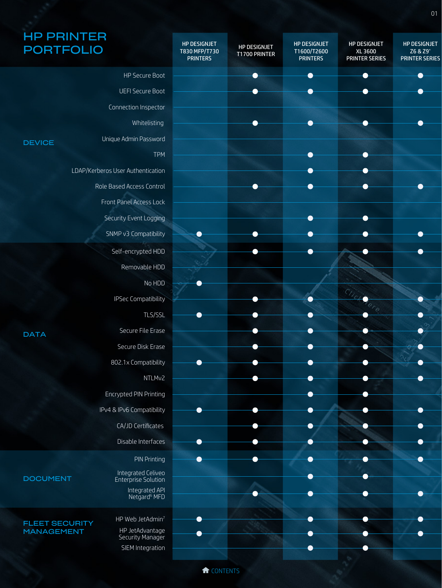## HP PRINTER PORTFOLIO

| <b>PORTFOLIO</b>                           |                                       | <b>HP DESIGNJET</b><br>T830 MFP/T730<br><b>PRINTERS</b> | HP DESIGNJET<br>T1700 PRINTER | <b>HP DESIGNJET</b><br>T1600/T2600<br><b>PRINTERS</b> | HP DESIGNJET<br>XL 3600<br><b>PRINTER SERIES</b> | HP DESIGNJET<br>Z6 & Z9 <sup>+</sup><br><b>PRINTER SERIES</b> |
|--------------------------------------------|---------------------------------------|---------------------------------------------------------|-------------------------------|-------------------------------------------------------|--------------------------------------------------|---------------------------------------------------------------|
|                                            | HP Secure Boot                        |                                                         |                               |                                                       |                                                  |                                                               |
|                                            | <b>UEFI Secure Boot</b>               |                                                         |                               |                                                       |                                                  |                                                               |
|                                            | Connection Inspector                  |                                                         |                               |                                                       |                                                  |                                                               |
|                                            | Whitelisting                          |                                                         |                               |                                                       |                                                  |                                                               |
| <b>DEVICE</b>                              | Unique Admin Password                 |                                                         |                               |                                                       |                                                  |                                                               |
|                                            | <b>TPM</b>                            |                                                         |                               |                                                       |                                                  |                                                               |
|                                            | LDAP/Kerberos User Authentication     |                                                         |                               |                                                       |                                                  |                                                               |
|                                            | Role Based Access Control             |                                                         |                               |                                                       |                                                  |                                                               |
|                                            | Front Panel Access Lock               |                                                         |                               |                                                       |                                                  |                                                               |
|                                            | Security Event Logging                |                                                         |                               |                                                       |                                                  |                                                               |
|                                            | SNMP v3 Compatibility                 |                                                         |                               |                                                       |                                                  |                                                               |
|                                            | Self-encrypted HDD                    |                                                         |                               |                                                       |                                                  |                                                               |
|                                            | Removable HDD                         |                                                         |                               |                                                       |                                                  |                                                               |
|                                            | No HDD                                |                                                         |                               |                                                       |                                                  |                                                               |
|                                            | <b>IPSec Compatibility</b>            |                                                         |                               |                                                       |                                                  |                                                               |
|                                            | TLS/SSL                               |                                                         |                               |                                                       |                                                  |                                                               |
|                                            | Secure File Erase                     |                                                         |                               |                                                       |                                                  |                                                               |
| <b>DATA</b>                                | Secure Disk Erase                     |                                                         |                               |                                                       |                                                  |                                                               |
|                                            | 802.1x Compatibility                  |                                                         |                               |                                                       |                                                  |                                                               |
|                                            | NTLMv2                                |                                                         |                               |                                                       |                                                  |                                                               |
|                                            | Encrypted PIN Printing                |                                                         |                               |                                                       |                                                  |                                                               |
|                                            | IPv4 & IPv6 Compatibility             |                                                         |                               |                                                       |                                                  |                                                               |
|                                            | CA/JD Certificates                    |                                                         |                               |                                                       |                                                  |                                                               |
|                                            | Disable Interfaces                    |                                                         |                               |                                                       |                                                  |                                                               |
|                                            | <b>PIN Printing</b>                   |                                                         |                               |                                                       |                                                  |                                                               |
|                                            | Integrated Celiveo                    |                                                         |                               |                                                       |                                                  |                                                               |
| <b>DOCUMENT</b>                            | Enterprise Solution<br>Integrated API |                                                         |                               |                                                       |                                                  |                                                               |
|                                            | Netgard <sup>6</sup> MFD              |                                                         |                               |                                                       |                                                  |                                                               |
|                                            | HP Web JetAdmin <sup>7</sup>          |                                                         |                               |                                                       |                                                  |                                                               |
| <b>FLEET SECURITY</b><br><b>MANAGEMENT</b> | HP JetAdvantage<br>Security Manager   |                                                         |                               |                                                       |                                                  |                                                               |
|                                            | SIEM Integration                      |                                                         |                               |                                                       |                                                  |                                                               |
|                                            |                                       |                                                         |                               |                                                       |                                                  |                                                               |

<sup>1</sup>CONTENTS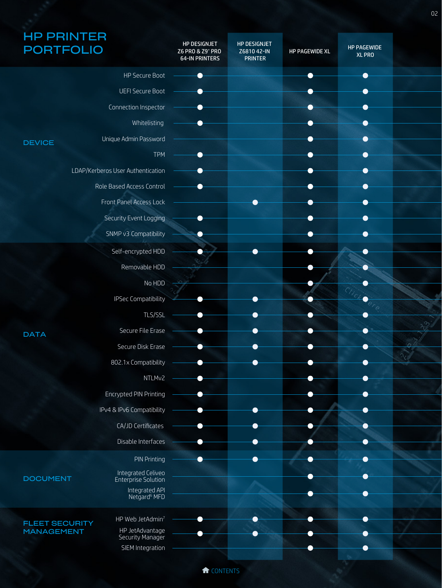| <b>HP PRINTER</b><br><b>PORTFOLIO</b>      |                                            | HP DESIGNJET<br>Z6 PRO & Z9 <sup>+</sup> PRO<br><b>64-IN PRINTERS</b> | <b>HP DESIGNJET</b><br>Z6810 42-IN<br><b>PRINTER</b> | HP PAGEWIDE XL | <b>HP PAGEWIDE</b><br><b>XL PRO</b> |  |
|--------------------------------------------|--------------------------------------------|-----------------------------------------------------------------------|------------------------------------------------------|----------------|-------------------------------------|--|
|                                            | HP Secure Boot                             |                                                                       |                                                      |                |                                     |  |
|                                            | <b>UEFI Secure Boot</b>                    |                                                                       |                                                      |                |                                     |  |
|                                            | Connection Inspector                       |                                                                       |                                                      |                |                                     |  |
|                                            | Whitelisting                               |                                                                       |                                                      |                |                                     |  |
| <b>DEVICE</b>                              | Unique Admin Password                      |                                                                       |                                                      |                |                                     |  |
|                                            | <b>TPM</b>                                 |                                                                       |                                                      |                |                                     |  |
|                                            | LDAP/Kerberos User Authentication          |                                                                       |                                                      |                |                                     |  |
|                                            | Role Based Access Control                  |                                                                       |                                                      |                |                                     |  |
|                                            | Front Panel Access Lock                    |                                                                       |                                                      |                |                                     |  |
|                                            | Security Event Logging                     |                                                                       |                                                      |                |                                     |  |
|                                            | SNMP v3 Compatibility                      |                                                                       |                                                      |                |                                     |  |
|                                            | Self-encrypted HDD                         |                                                                       |                                                      |                |                                     |  |
|                                            | Removable HDD                              |                                                                       |                                                      |                |                                     |  |
|                                            | No HDD                                     |                                                                       |                                                      |                |                                     |  |
|                                            | <b>IPSec Compatibility</b>                 |                                                                       |                                                      |                |                                     |  |
|                                            | TLS/SSL                                    |                                                                       |                                                      |                |                                     |  |
| <b>DATA</b>                                | Secure File Erase                          |                                                                       |                                                      |                |                                     |  |
|                                            | Secure Disk Erase                          |                                                                       |                                                      |                |                                     |  |
|                                            | 802.1x Compatibility                       |                                                                       |                                                      |                |                                     |  |
|                                            | NTLMv2                                     | ▁                                                                     |                                                      |                |                                     |  |
|                                            | Encrypted PIN Printing                     |                                                                       |                                                      |                |                                     |  |
|                                            | IPv4 & IPv6 Compatibility                  |                                                                       |                                                      |                |                                     |  |
|                                            | CA/JD Certificates                         |                                                                       |                                                      |                |                                     |  |
|                                            | Disable Interfaces                         |                                                                       |                                                      |                |                                     |  |
|                                            | <b>PIN Printing</b>                        |                                                                       |                                                      |                | ●                                   |  |
| <b>DOCUMENT</b>                            | Integrated Celiveo<br>Enterprise Solution  |                                                                       |                                                      |                |                                     |  |
|                                            | Integrated API<br>Netgard <sup>6</sup> MFD |                                                                       |                                                      |                |                                     |  |
|                                            | HP Web JetAdmin <sup>7</sup>               |                                                                       |                                                      |                |                                     |  |
| <b>FLEET SECURITY</b><br><b>MANAGEMENT</b> | HP JetAdvantage                            |                                                                       |                                                      |                |                                     |  |
|                                            | Security Manager<br>SIEM Integration       |                                                                       |                                                      |                |                                     |  |
|                                            |                                            |                                                                       |                                                      |                |                                     |  |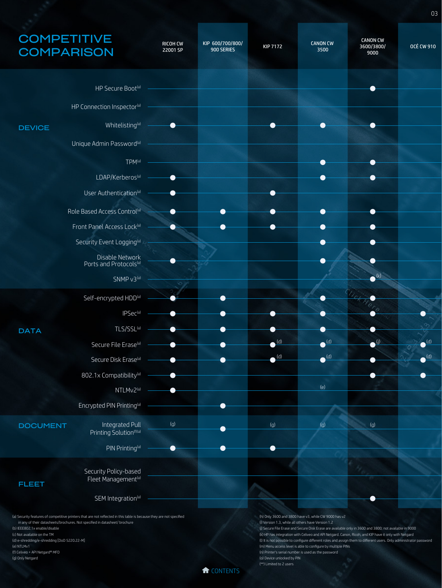## **COMPETITIVE COMPARISON**

(f) Celiveo + API Netgard® MFD (g) Only Netgard

| <b>COMPETITIVE</b><br><b>COMPARISON</b>                                                                                                                                                                                                                                                                                         |                                                                                 | <b>RICOH CW</b><br>22001 SP | KIP 600/700/800/<br>900 SERIES | <b>KIP 7172</b>                                    | <b>CANON CW</b><br>3500                                                                                             | <b>CANON CW</b><br>3600/3800/<br>9000                                                                                                                                                                                                                                                                                                 | <b>OCÉ CW 910</b>        |
|---------------------------------------------------------------------------------------------------------------------------------------------------------------------------------------------------------------------------------------------------------------------------------------------------------------------------------|---------------------------------------------------------------------------------|-----------------------------|--------------------------------|----------------------------------------------------|---------------------------------------------------------------------------------------------------------------------|---------------------------------------------------------------------------------------------------------------------------------------------------------------------------------------------------------------------------------------------------------------------------------------------------------------------------------------|--------------------------|
|                                                                                                                                                                                                                                                                                                                                 | HP Secure Boot <sup>(a)</sup>                                                   |                             |                                |                                                    |                                                                                                                     |                                                                                                                                                                                                                                                                                                                                       |                          |
|                                                                                                                                                                                                                                                                                                                                 | HP Connection Inspector <sup>(a)</sup>                                          |                             |                                |                                                    |                                                                                                                     |                                                                                                                                                                                                                                                                                                                                       |                          |
|                                                                                                                                                                                                                                                                                                                                 |                                                                                 |                             |                                |                                                    |                                                                                                                     |                                                                                                                                                                                                                                                                                                                                       |                          |
| <b>DEVICE</b>                                                                                                                                                                                                                                                                                                                   | Whitelisting <sup>(a)</sup>                                                     |                             |                                |                                                    |                                                                                                                     |                                                                                                                                                                                                                                                                                                                                       |                          |
|                                                                                                                                                                                                                                                                                                                                 | Unique Admin Password <sup>(a)</sup>                                            |                             |                                |                                                    |                                                                                                                     |                                                                                                                                                                                                                                                                                                                                       |                          |
|                                                                                                                                                                                                                                                                                                                                 | TPM <sup>(a)</sup>                                                              |                             |                                |                                                    |                                                                                                                     |                                                                                                                                                                                                                                                                                                                                       |                          |
|                                                                                                                                                                                                                                                                                                                                 | LDAP/Kerberos <sup>(a)</sup>                                                    |                             |                                |                                                    |                                                                                                                     |                                                                                                                                                                                                                                                                                                                                       |                          |
|                                                                                                                                                                                                                                                                                                                                 | User Authentication <sup>(a)</sup>                                              |                             |                                |                                                    |                                                                                                                     |                                                                                                                                                                                                                                                                                                                                       |                          |
|                                                                                                                                                                                                                                                                                                                                 | Role Based Access Control <sup>(a)</sup>                                        |                             |                                |                                                    |                                                                                                                     |                                                                                                                                                                                                                                                                                                                                       |                          |
|                                                                                                                                                                                                                                                                                                                                 | Front Panel Access Lock <sup>(a)</sup><br>Security Event Logging <sup>(a)</sup> |                             |                                |                                                    |                                                                                                                     |                                                                                                                                                                                                                                                                                                                                       |                          |
|                                                                                                                                                                                                                                                                                                                                 |                                                                                 |                             |                                |                                                    |                                                                                                                     |                                                                                                                                                                                                                                                                                                                                       |                          |
|                                                                                                                                                                                                                                                                                                                                 | Disable Network<br>Ports and Protocols(a)                                       |                             |                                |                                                    |                                                                                                                     | ●<br>(k)                                                                                                                                                                                                                                                                                                                              |                          |
|                                                                                                                                                                                                                                                                                                                                 | SNMP v3(a)                                                                      |                             |                                |                                                    |                                                                                                                     |                                                                                                                                                                                                                                                                                                                                       |                          |
|                                                                                                                                                                                                                                                                                                                                 | Self-encrypted HDD(a)                                                           |                             |                                |                                                    |                                                                                                                     |                                                                                                                                                                                                                                                                                                                                       |                          |
|                                                                                                                                                                                                                                                                                                                                 | IPSec <sup>(a)</sup>                                                            |                             |                                |                                                    |                                                                                                                     |                                                                                                                                                                                                                                                                                                                                       |                          |
| <b>DATA</b>                                                                                                                                                                                                                                                                                                                     | TLS/SSL(a)<br>Secure File Erase <sup>(a)</sup>                                  |                             |                                | (d)                                                | n.<br>$\bullet^{\text{(d)}}$                                                                                        | $\rightarrow$                                                                                                                                                                                                                                                                                                                         | $\bullet$ <sup>(d)</sup> |
|                                                                                                                                                                                                                                                                                                                                 | Secure Disk Erase <sup>(a)</sup>                                                |                             |                                | (d)                                                | $\bigodot$ (d)                                                                                                      |                                                                                                                                                                                                                                                                                                                                       | $\bigodot$ (d)           |
|                                                                                                                                                                                                                                                                                                                                 | 802.1x Compatibility <sup>(a)</sup>                                             |                             |                                |                                                    |                                                                                                                     |                                                                                                                                                                                                                                                                                                                                       |                          |
|                                                                                                                                                                                                                                                                                                                                 | NTLMv2(a)                                                                       |                             |                                |                                                    | (e)                                                                                                                 |                                                                                                                                                                                                                                                                                                                                       |                          |
|                                                                                                                                                                                                                                                                                                                                 | Encrypted PIN Printing <sup>(a)</sup>                                           |                             |                                |                                                    |                                                                                                                     |                                                                                                                                                                                                                                                                                                                                       |                          |
| <b>DOCUMENT</b>                                                                                                                                                                                                                                                                                                                 | Integrated Pull                                                                 | (g)                         |                                | (g)                                                | (g)                                                                                                                 | (g)                                                                                                                                                                                                                                                                                                                                   |                          |
|                                                                                                                                                                                                                                                                                                                                 | Printing Solution(f)(a)<br>PIN Printing <sup>(a)</sup>                          |                             |                                |                                                    |                                                                                                                     |                                                                                                                                                                                                                                                                                                                                       |                          |
|                                                                                                                                                                                                                                                                                                                                 |                                                                                 |                             |                                |                                                    |                                                                                                                     |                                                                                                                                                                                                                                                                                                                                       |                          |
| <b>FLEET</b>                                                                                                                                                                                                                                                                                                                    | Security Policy-based<br>Fleet Management <sup>(a)</sup>                        |                             |                                |                                                    |                                                                                                                     |                                                                                                                                                                                                                                                                                                                                       |                          |
|                                                                                                                                                                                                                                                                                                                                 | SEM Integration <sup>(a)</sup>                                                  |                             |                                |                                                    |                                                                                                                     |                                                                                                                                                                                                                                                                                                                                       |                          |
| (a) Security features of competitive printers that are not reflected in this table is because they are not specified<br>in any of their datasheets/brochures. Not specified in datasheet/ brochure<br>(b) IEEE802.1x enable/disable<br>(c) Not available on the TM<br>(d) e-shredding/e-shredding [DoD 5220.22-M]<br>(e) NTLMv1 |                                                                                 |                             |                                | (i) Version 1.3, while all others have Version 1.2 | (h) Only 3600 and 3800 have v3, while CW 9000 has v2<br>(m) Menu access level is able to configure by multiple PINs | (j) Secure File Erase and Secure Disk Erase are available only in 3600 and 3800; not available in 9000<br>(k) HP has integration with Celiveo and API Netgard. Canon, Ricoh, and KIP have it only with Netgard<br>(I) It is not possible to configure different roles and assign them to different users. Only administrator password |                          |

<sup>t</sup>CONTENTS

(n) Printer's serial number is used as the password

(o) Device unlocked by PIN (\*\*) Limited to 2 users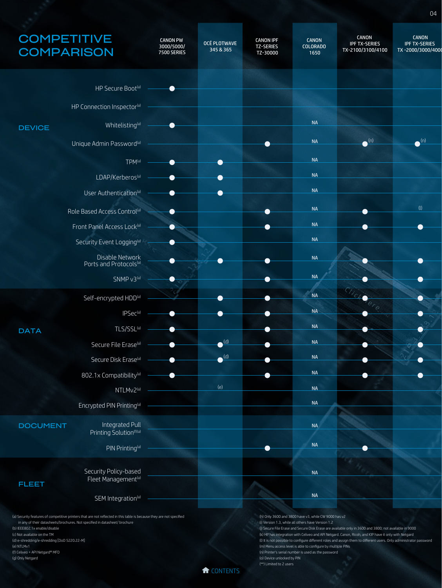## **COMPETITIVE COMPARISON** CANON IPF TZ-SERIES TZ-30000 **OCÉ PLOTWAVE**  345 & 365 CANON PW 3000/5000/ 7500 SERIES

| <b>COMPARISON</b> |                                                          | 3000/5000/<br><b>7500 SERIES</b> | OCE PLOTWAVE<br>345 & 365 | TZ-SERIES<br>TZ-30000 | COLORADO<br>1650 | <b>IPF TX-SERIES</b><br>TX-2100/3100/4100 | <b>IPF TX-SERIES</b><br>TX-2000/3000/4000 |
|-------------------|----------------------------------------------------------|----------------------------------|---------------------------|-----------------------|------------------|-------------------------------------------|-------------------------------------------|
|                   | HP Secure Boot <sup>(a)</sup>                            | ▲                                |                           |                       |                  |                                           |                                           |
|                   | HP Connection Inspector <sup>(a)</sup>                   |                                  |                           |                       |                  |                                           |                                           |
| <b>DEVICE</b>     | Whitelisting <sup>(a)</sup>                              | ●                                |                           |                       | <b>NA</b>        |                                           |                                           |
|                   | Unique Admin Password <sup>(a)</sup>                     |                                  |                           |                       | NA               | $\bullet$ <sup>(n)</sup>                  | $\bullet$ <sup>(n)</sup>                  |
|                   | $TPM^{(a)}$                                              |                                  | ●                         |                       | <b>NA</b>        |                                           |                                           |
|                   | LDAP/Kerberos <sup>(a)</sup>                             |                                  | $\bullet$                 |                       | <b>NA</b>        |                                           |                                           |
|                   | User Authentication <sup>(a)</sup>                       | ●                                |                           |                       | NA               |                                           |                                           |
|                   | Role Based Access Control <sup>(a)</sup>                 | $\bullet$                        |                           |                       | NA               |                                           | $\left(\mathsf{I}\right)$                 |
|                   | Front Panel Access Lock <sup>(a)</sup>                   | $\bullet$                        |                           |                       | NA               |                                           |                                           |
|                   | Security Event Logging <sup>(a)</sup>                    | $\bullet$                        |                           |                       | NA               |                                           |                                           |
|                   | Disable Network<br>Ports and Protocols <sup>(a)</sup>    |                                  |                           |                       | NA               |                                           |                                           |
|                   | SNMP v3(a)                                               | ●                                |                           | Ð                     | NA               |                                           |                                           |
|                   | Self-encrypted HDD(a)                                    |                                  |                           |                       | NA               |                                           |                                           |
|                   | IPSec <sup>(a)</sup>                                     |                                  |                           |                       | NA               |                                           |                                           |
| <b>DATA</b>       | TLS/SSL(a)                                               |                                  |                           |                       | <b>NA</b>        |                                           |                                           |
|                   | Secure File Erase <sup>(a)</sup>                         |                                  | $\bullet$ <sup>(d)</sup>  |                       | NA               |                                           |                                           |
|                   | Secure Disk Erase <sup>(a)</sup>                         |                                  | $\bigodot$ (d)            |                       | NA               |                                           |                                           |
|                   | 802.1x Compatibility <sup>(a)</sup>                      |                                  |                           |                       | NA               |                                           |                                           |
|                   | NTLMv2(a)                                                |                                  | (e)                       |                       | NA               |                                           |                                           |
|                   | Encrypted PIN Printing <sup>(a)</sup>                    |                                  |                           |                       | NA               |                                           |                                           |
| <b>DOCUMENT</b>   | Integrated Pull<br>Printing Solution <sup>(f)(a)</sup>   |                                  |                           |                       | <b>NA</b>        |                                           |                                           |
|                   | PIN Printing <sup>(a)</sup>                              |                                  |                           | ●                     | NA               |                                           |                                           |
| <b>FLEET</b>      | Security Policy-based<br>Fleet Management <sup>(a)</sup> |                                  |                           |                       | NA               |                                           |                                           |
|                   | SEM Integration <sup>(a)</sup>                           |                                  |                           |                       | NA               |                                           |                                           |

(a) Security features of competitive printers that are not reflected in this table is because they are not specified in any of their datasheets/brochures. Not specified in datasheet/ brochure

(b) IEEE802.1x enable/disable (c) Not available on the TM

(d) e-shredding/e-shredding [DoD 5220.22-M] (e) NTLMv1 (f) Celiveo + API Netgard® MFD

(g) Only Netgard



(h) Only 3600 and 3800 have v3, while CW 9000 has v2 (i) Version 1.3, while all others have Version 1.2

(m) Menu access level is able to configure by multiple PINs (n) Printer's serial number is used as the password

(o) Device unlocked by PIN (\*\*) Limited to 2 users

(j) Secure File Erase and Secure Disk Erase are available only in 3600 and 3800; not available in 9000 (k) HP has integration with Celiveo and API Netgard. Canon, Ricoh, and KIP have it only with Netgard (l) It is not possible to configure different roles and assign them to different users. Only administrator password

CANON

CANON

CANON